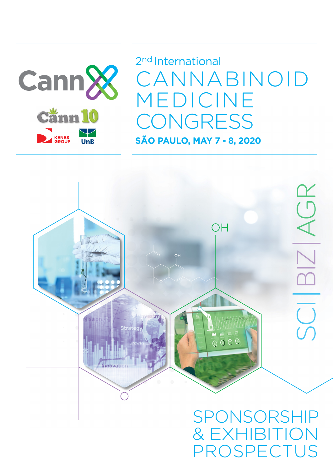

**SÃO PAULO, MAY 7 - 8, 2020** 2nd International CANNABINOID MEDICINE CONGRESS



# SPONSORSHIP & EXHIBITION OSPECTUS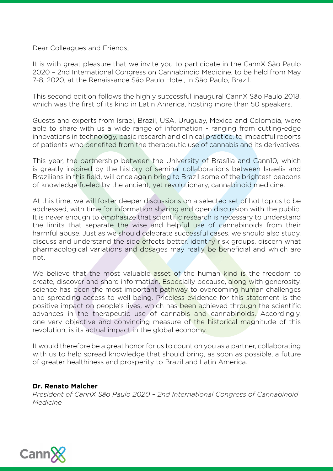Dear Colleagues and Friends,

It is with great pleasure that we invite you to participate in the CannX São Paulo 2020 – 2nd International Congress on Cannabinoid Medicine, to be held from May 7-8, 2020, at the Renaissance São Paulo Hotel, in São Paulo, Brazil.

This second edition follows the highly successful inaugural CannX São Paulo 2018, which was the first of its kind in Latin America, hosting more than 50 speakers.

Guests and experts from Israel, Brazil, USA, Uruguay, Mexico and Colombia, were able to share with us a wide range of information - ranging from cutting-edge innovations in technology, basic research and clinical practice, to impactful reports of patients who benefited from the therapeutic use of cannabis and its derivatives.

This year, the partnership between the University of Brasília and Cann10, which is greatly inspired by the history of seminal collaborations between Israelis and Brazilians in this field, will once again bring to Brazil some of the brightest beacons of knowledge fueled by the ancient, yet revolutionary, cannabinoid medicine.

At this time, we will foster deeper discussions on a selected set of hot topics to be addressed, with time for information sharing and open discussion with the public. It is never enough to emphasize that scientific research is necessary to understand the limits that separate the wise and helpful use of cannabinoids from their harmful abuse. Just as we should celebrate successful cases, we should also study, discuss and understand the side effects better, identify risk groups, discern what pharmacological variations and dosages may really be beneficial and which are not.

We believe that the most valuable asset of the human kind is the freedom to create, discover and share information. Especially because, along with generosity, science has been the most important pathway to overcoming human challenges and spreading access to well-being. Priceless evidence for this statement is the positive impact on people's lives, which has been achieved through the scientific advances in the therapeutic use of cannabis and cannabinoids. Accordingly, one very objective and convincing measure of the historical magnitude of this revolution, is its actual impact in the global economy.

It would therefore be a great honor for us to count on you as a partner, collaborating with us to help spread knowledge that should bring, as soon as possible, a future of greater healthiness and prosperity to Brazil and Latin America.

#### **Dr. Renato Malcher**

*President of CannX São Paulo 2020 – 2nd International Congress of Cannabinoid Medicine*

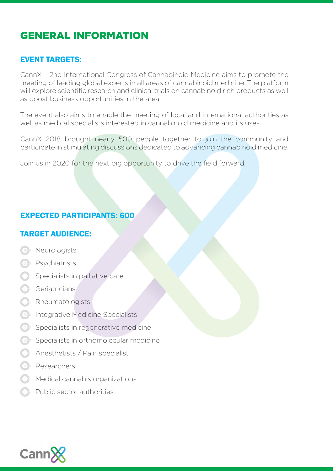# GENERAL INFORMATION

#### EVENT TARGETS:

CannX – 2nd International Congress of Cannabinoid Medicine aims to promote the meeting of leading global experts in all areas of cannabinoid medicine. The platform will explore scientific research and clinical trials on cannabinoid rich products as well as boost business opportunities in the area.

The event also aims to enable the meeting of local and international authorities as well as medical specialists interested in cannabinoid medicine and its uses.

CannX 2018 brought nearly 500 people together to join the community and participate in stimulating discussions dedicated to advancing cannabinoid medicine.

Join us in 2020 for the next big opportunity to drive the field forward.

### EXPECTED PARTICIPANTS: 600

### TARGET AUDIENCE:

- **OF** Neurologists
- *e* Psychiatrists
- **Specialists in palliative care**
- **Geriatricians**
- Rheumatologists
- **C**<sup>I</sup> Integrative Medicine Specialists
- $\Theta$  Specialists in regenerative medicine
- $\Theta$  > Specialists in orthomolecular medicine
- Anesthetists / Pain specialist
- Researchers
- Medical cannabis organizations
- Public sector authorities

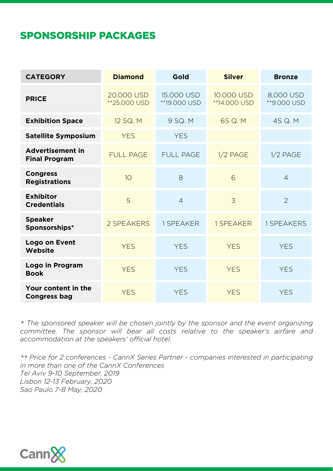### SPONSORSHIP PACKAGES

| <b>CATEGORY</b>                                 | <b>Diamond</b>             | Gold                       | <b>Silver</b>              | <b>Bronze</b>            |
|-------------------------------------------------|----------------------------|----------------------------|----------------------------|--------------------------|
| <b>PRICE</b>                                    | 20.000 USD<br>**25.000 USD | 15,000 USD<br>**19.000 USD | 10.000 USD<br>**14.000 USD | 8.000 USD<br>**9.000 USD |
| <b>Exhibition Space</b>                         | 12 SQ. M                   | 9 SQ. M                    | 6S Q. M                    | 4S Q. M.                 |
| <b>Satellite Symposium</b>                      | <b>YES</b>                 | <b>YES</b>                 |                            |                          |
| <b>Advertisement in</b><br><b>Final Program</b> | <b>FULL PAGE</b>           | <b>FULL PAGE</b>           | $1/2$ PAGE                 | $1/2$ PAGE               |
| <b>Congress</b><br><b>Registrations</b>         | 10                         | 8                          | 6                          | $\overline{4}$           |
| <b>Exhibitor</b><br><b>Credentials</b>          | 5                          | $\overline{4}$             | $\overline{3}$             | $\overline{2}$           |
| <b>Speaker</b><br>Sponsorships*                 | 2 SPEAKERS                 | 1 SPEAKER                  | 1 SPEAKER                  | 1 SPEAKERS               |
| Logo on Event<br>Website                        | <b>YES</b>                 | <b>YES</b>                 | <b>YES</b>                 | <b>YES</b>               |
| Logo in Program<br><b>Book</b>                  | <b>YES</b>                 | <b>YES</b>                 | <b>YES</b>                 | <b>YES</b>               |
| Your content in the<br><b>Congress bag</b>      | <b>YES</b>                 | <b>YES</b>                 | <b>YES</b>                 | <b>YES</b>               |

*\* The sponsored speaker will be chosen jointly by the sponsor and the event organizing committee. The sponsor will bear all costs relative to the speaker's airfare and accommodation at the speakers' official hotel.*

*\*\* Price for 2 conferences - CannX Series Partner - companies interested in participating in more than one of the CannX Conferences Tel Aviv 9-10 September, 2019 Lisbon 12-13 February, 2020 Sao Paulo 7-8 May, 2020*

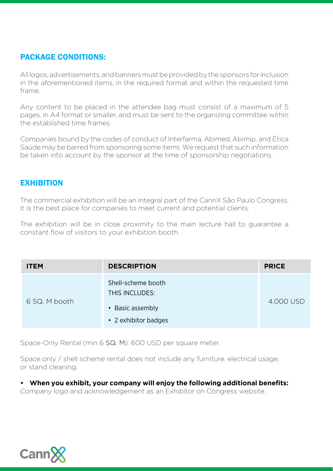### PACKAGE CONDITIONS:

All logos, advertisements, and banners must be provided by the sponsors for inclusion in the aforementioned items, in the required format and within the requested time frame.

Any content to be placed in the attendee bag must consist of a maximum of 5 pages, in A4 format or smaller, and must be sent to the organizing committee within the established time frames.

Companies bound by the codes of conduct of Interfarma, Abimed, Abimip, and Ética Saúde may be barred from sponsoring some items. We request that such information be taken into account by the sponsor at the time of sponsorship negotiations.

#### **EXHIBITION**

The commercial exhibition will be an integral part of the CannX São Paulo Congress. It is the best place for companies to meet current and potential clients.

The exhibition will be in close proximity to the main lecture hall to guarantee a constant flow of visitors to your exhibition booth.

| <b>ITEM</b>   | <b>DESCRIPTION</b>                                                               | <b>PRICE</b> |
|---------------|----------------------------------------------------------------------------------|--------------|
| 6 SQ. M booth | Shell-scheme booth<br>THIS INCLUDES:<br>• Basic assembly<br>• 2 exhibitor badges | 4.000 USD    |

Space-Only Rental (min 6 SQ. M): 600 USD per square meter.

Space only / shell scheme rental does not include any furniture, electrical usage, or stand cleaning.

**• When you exhibit, your company will enjoy the following additional benefits:** 

Company logo and acknowledgement as an Exhibitor on Congress website.

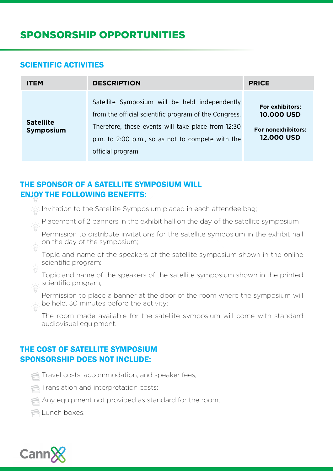#### SCIENTIFIC ACTIVITIES

| <b>ITEM</b>                          | <b>DESCRIPTION</b>                                                                                                                                                                                                                    | <b>PRICE</b>                                                                    |
|--------------------------------------|---------------------------------------------------------------------------------------------------------------------------------------------------------------------------------------------------------------------------------------|---------------------------------------------------------------------------------|
| <b>Satellite</b><br><b>Symposium</b> | Satellite Symposium will be held independently<br>from the official scientific program of the Congress.<br>Therefore, these events will take place from 12:30<br>p.m. to 2:00 p.m., so as not to compete with the<br>official program | For exhibitors:<br><b>10,000 USD</b><br>For nonexhibitors:<br><b>12.000 USD</b> |

#### THE SPONSOR OF A SATELLITE SYMPOSIUM WILL ENJOY THE FOLLOWING BENEFITS:

 $\phi$ . Invitation to the Satellite Symposium placed in each attendee bag;

Placement of 2 banners in the exhibit hall on the day of the satellite symposium

Permission to distribute invitations for the satellite symposium in the exhibit hall on the day of the symposium;

Topic and name of the speakers of the satellite symposium shown in the online scientific program;

Topic and name of the speakers of the satellite symposium shown in the printed scientific program;

Permission to place a banner at the door of the room where the symposium will be held, 30 minutes before the activity;

The room made available for the satellite symposium will come with standard audiovisual equipment.

#### THE COST OF SATELLITE SYMPOSIUM SPONSORSHIP DOES NOT INCLUDE:

- Travel costs, accommodation, and speaker fees;
- Translation and interpretation costs;
- Any equipment not provided as standard for the room;

**E** Lunch boxes.

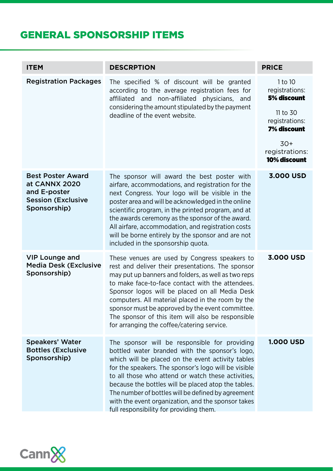# GENERAL SPONSORSHIP ITEMS

| <b>ITEM</b>                                                                                            | <b>DESCRPTION</b>                                                                                                                                                                                                                                                                                                                                                                                                                                                                | <b>PRICE</b>                                                                                                                            |
|--------------------------------------------------------------------------------------------------------|----------------------------------------------------------------------------------------------------------------------------------------------------------------------------------------------------------------------------------------------------------------------------------------------------------------------------------------------------------------------------------------------------------------------------------------------------------------------------------|-----------------------------------------------------------------------------------------------------------------------------------------|
| <b>Registration Packages</b>                                                                           | The specified % of discount will be granted<br>according to the average registration fees for<br>affiliated and non-affiliated physicians, and<br>considering the amount stipulated by the payment<br>deadline of the event website.                                                                                                                                                                                                                                             | 1 to 10<br>registrations:<br>5% discount<br>11 to 30<br>registrations:<br><b>7% discount</b><br>$30+$<br>registrations:<br>10% discount |
| <b>Best Poster Award</b><br>at CANNX 2020<br>and E-poster<br><b>Session (Exclusive</b><br>Sponsorship) | The sponsor will award the best poster with<br>airfare, accommodations, and registration for the<br>next Congress. Your logo will be visible in the<br>poster area and will be acknowledged in the online<br>scientific program, in the printed program, and at<br>the awards ceremony as the sponsor of the award.<br>All airfare, accommodation, and registration costs<br>will be borne entirely by the sponsor and are not<br>included in the sponsorship quota.             | 3.000 USD                                                                                                                               |
| <b>VIP Lounge and</b><br><b>Media Desk (Exclusive</b><br>Sponsorship)                                  | These venues are used by Congress speakers to<br>rest and deliver their presentations. The sponsor<br>may put up banners and folders, as well as two reps<br>to make face-to-face contact with the attendees.<br>Sponsor logos will be placed on all Media Desk<br>computers. All material placed in the room by the<br>sponsor must be approved by the event committee<br>The sponsor of this item will also be responsible<br>for arranging the coffee/catering service.       | 3.000 USD                                                                                                                               |
| <b>Speakers' Water</b><br><b>Bottles (Exclusive</b><br>Sponsorship)                                    | The sponsor will be responsible for providing<br>bottled water branded with the sponsor's logo,<br>which will be placed on the event activity tables<br>for the speakers. The sponsor's logo will be visible<br>to all those who attend or watch these activities,<br>because the bottles will be placed atop the tables.<br>The number of bottles will be defined by agreement<br>with the event organization, and the sponsor takes<br>full responsibility for providing them. | <b>1.000 USD</b>                                                                                                                        |

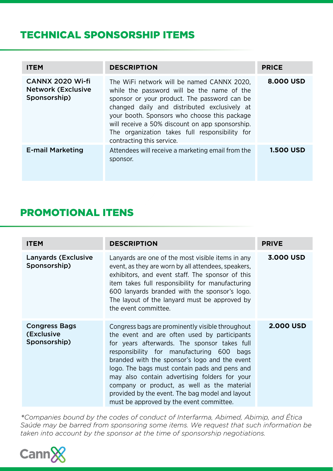# TECHNICAL SPONSORSHIP ITEMS

| <b>ITEM</b>                                                   | <b>DESCRIPTION</b>                                                                                                                                                                                                                                                                                                                                                         | <b>PRICE</b>     |
|---------------------------------------------------------------|----------------------------------------------------------------------------------------------------------------------------------------------------------------------------------------------------------------------------------------------------------------------------------------------------------------------------------------------------------------------------|------------------|
| CANNX 2020 Wi-fi<br><b>Network (Exclusive</b><br>Sponsorship) | The WiFi network will be named CANNX 2020.<br>while the password will be the name of the<br>sponsor or your product. The password can be<br>changed daily and distributed exclusively at<br>your booth. Sponsors who choose this package<br>will receive a 50% discount on app sponsorship.<br>The organization takes full responsibility for<br>contracting this service. | 8,000 USD        |
| <b>E-mail Marketing</b>                                       | Attendees will receive a marketing email from the<br>sponsor.                                                                                                                                                                                                                                                                                                              | <b>1.500 USD</b> |

### PROMOTIONAL ITENS

| <b>ITEM</b>                                        | <b>DESCRIPTION</b>                                                                                                                                                                                                                                                                                                                                                                                                                                                                             | <b>PRIVE</b>     |
|----------------------------------------------------|------------------------------------------------------------------------------------------------------------------------------------------------------------------------------------------------------------------------------------------------------------------------------------------------------------------------------------------------------------------------------------------------------------------------------------------------------------------------------------------------|------------------|
| <b>Lanyards (Exclusive</b><br>Sponsorship)         | Lanyards are one of the most visible items in any<br>event, as they are worn by all attendees, speakers,<br>exhibitors, and event staff. The sponsor of this<br>item takes full responsibility for manufacturing<br>600 lanyards branded with the sponsor's logo.<br>The layout of the lanyard must be approved by<br>the event committee.                                                                                                                                                     | 3,000 USD        |
| <b>Congress Bags</b><br>(Exclusive<br>Sponsorship) | Congress bags are prominently visible throughout<br>the event and are often used by participants<br>for years afterwards. The sponsor takes full<br>responsibility for manufacturing 600 bags<br>branded with the sponsor's logo and the event<br>logo. The bags must contain pads and pens and<br>may also contain advertising folders for your<br>company or product, as well as the material<br>provided by the event. The bag model and layout<br>must be approved by the event committee. | <b>2.000 USD</b> |

*\*Companies bound by the codes of conduct of Interfarma, Abimed, Abimip, and Ética Saúde may be barred from sponsoring some items. We request that such information be taken into account by the sponsor at the time of sponsorship negotiations.*

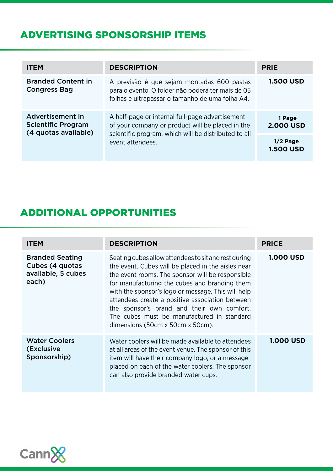# ADVERTISING SPONSORSHIP ITEMS

| <b>ITEM</b>                                                           | <b>DESCRIPTION</b>                                                                                                                                                              | <b>PRIE</b>                    |
|-----------------------------------------------------------------------|---------------------------------------------------------------------------------------------------------------------------------------------------------------------------------|--------------------------------|
| <b>Branded Content in</b><br><b>Congress Bag</b>                      | A previsão é que sejam montadas 600 pastas<br>para o evento. O folder não poderá ter mais de 05<br>folhas e ultrapassar o tamanho de uma folha A4.                              | <b>1.500 USD</b>               |
| Advertisement in<br><b>Scientific Program</b><br>(4 quotas available) | A half-page or internal full-page advertisement<br>of your company or product will be placed in the<br>scientific program, which will be distributed to all<br>event attendees. | 1 Page<br><b>2.000 USD</b>     |
|                                                                       |                                                                                                                                                                                 | $1/2$ Page<br><b>1.500 USD</b> |

### ADDITIONAL OPPORTUNITIES

| <b>ITEM</b>                                                              | <b>DESCRIPTION</b>                                                                                                                                                                                                                                                                                                                                                                                                                                       | <b>PRICE</b>     |
|--------------------------------------------------------------------------|----------------------------------------------------------------------------------------------------------------------------------------------------------------------------------------------------------------------------------------------------------------------------------------------------------------------------------------------------------------------------------------------------------------------------------------------------------|------------------|
| <b>Branded Seating</b><br>Cubes (4 quotas<br>available, 5 cubes<br>each) | Seating cubes allow attendees to sit and rest during<br>the event. Cubes will be placed in the aisles near<br>the event rooms. The sponsor will be responsible<br>for manufacturing the cubes and branding them<br>with the sponsor's logo or message. This will help<br>attendees create a positive association between<br>the sponsor's brand and their own comfort.<br>The cubes must be manufactured in standard<br>dimensions (50cm x 50cm x 50cm). | <b>1.000 USD</b> |
| <b>Water Coolers</b><br>(Exclusive<br>Sponsorship)                       | Water coolers will be made available to attendees<br>at all areas of the event venue. The sponsor of this<br>item will have their company logo, or a message<br>placed on each of the water coolers. The sponsor<br>can also provide branded water cups.                                                                                                                                                                                                 | <b>1.000 USD</b> |